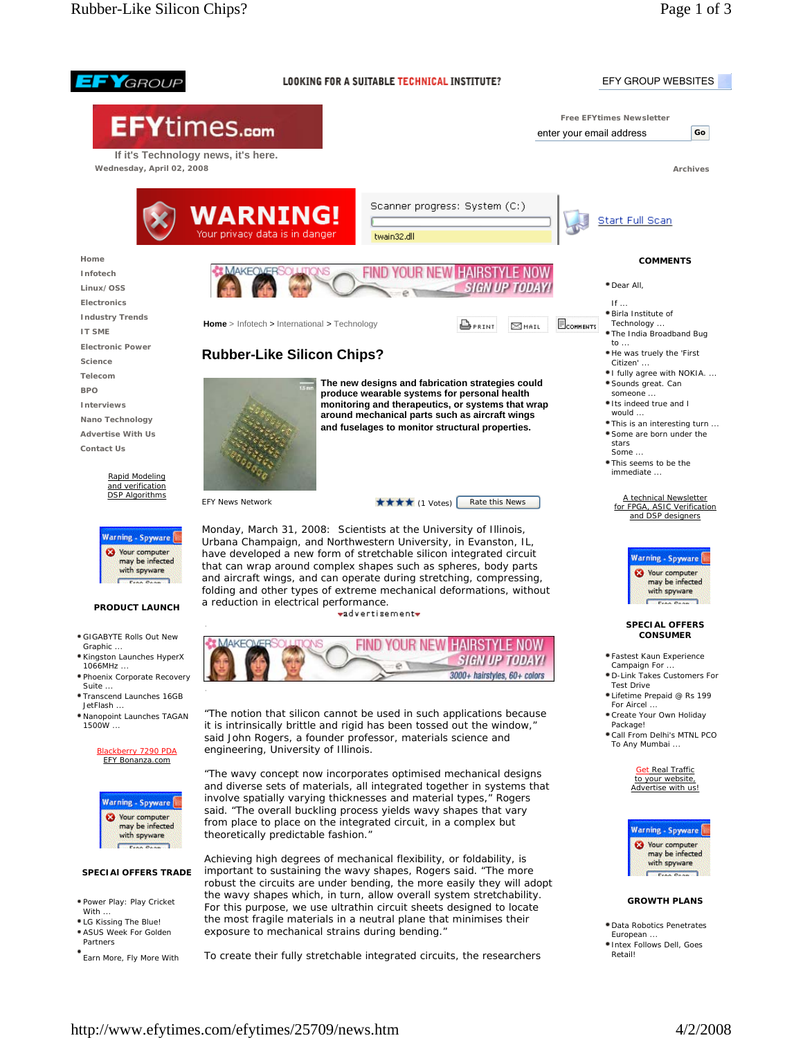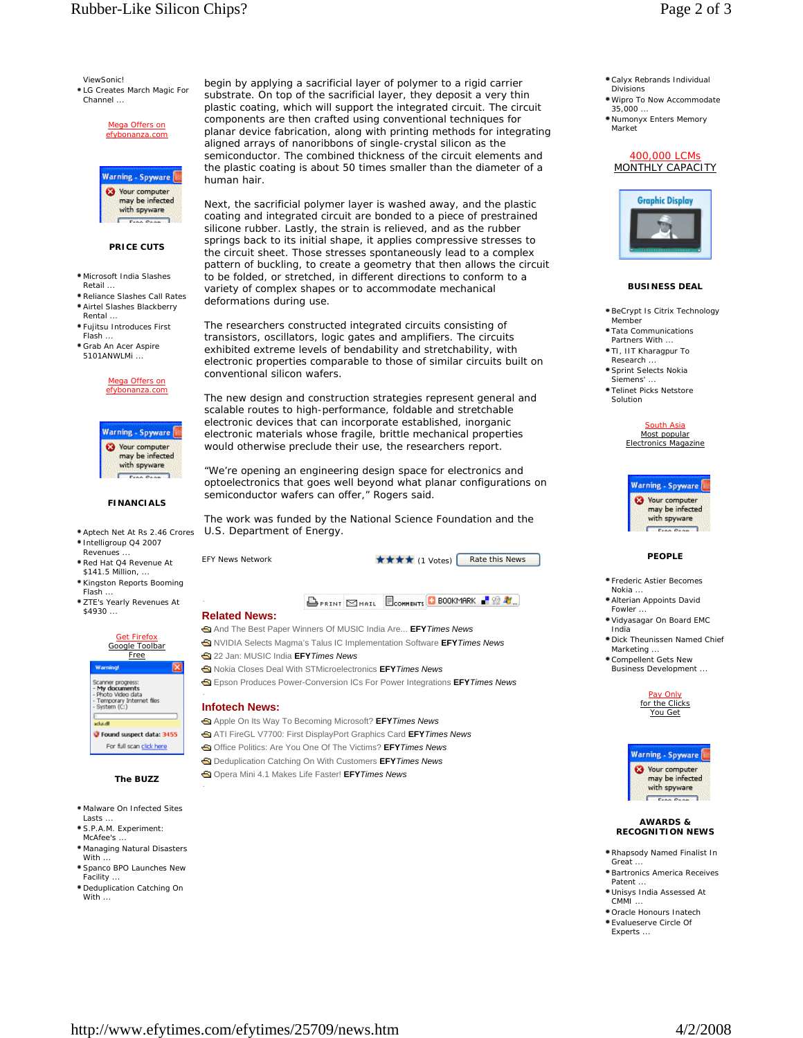ViewSonic!

LG Creates March Magic For Channel ...

> Mega Offers on efybonanza.com



#### **PRICE CUTS**

- Microsoft India Slashes Retail.
- Reliance Slashes Call Rates Airtel Slashes Blackberry **Rental**
- Fujitsu Introduces First Flash ...
- Grab An Acer Aspire 5101ANWLMi ...



Warning - Spyware ø Your computer may be infected with spyware

## **FINANCIALS**

- Aptech Net At Rs 2.46 Crores
- Intelligroup Q4 2007
- Revenues
- Red Hat Q4 Revenue At \$141.5 Million.
- Kingston Reports Booming Flash ...
- **\* ZTE's Yearly Revenues At** \$4930 ...



## **The BUZZ**

- Malware On Infected Sites Lasts.
- S.P.A.M. Experiment:
- McAfee's Managing Natural Disasters
- With . Spanco BPO Launches New
- Facility ...
- Deduplication Catching On With .

begin by applying a sacrificial layer of polymer to a rigid carrier substrate. On top of the sacrificial layer, they deposit a very thin plastic coating, which will support the integrated circuit. The circuit components are then crafted using conventional techniques for planar device fabrication, along with printing methods for integrating aligned arrays of nanoribbons of single-crystal silicon as the semiconductor. The combined thickness of the circuit elements and the plastic coating is about 50 times smaller than the diameter of a human hair.

Next, the sacrificial polymer layer is washed away, and the plastic coating and integrated circuit are bonded to a piece of prestrained silicone rubber. Lastly, the strain is relieved, and as the rubber springs back to its initial shape, it applies compressive stresses to the circuit sheet. Those stresses spontaneously lead to a complex pattern of buckling, to create a geometry that then allows the circuit to be folded, or stretched, in different directions to conform to a variety of complex shapes or to accommodate mechanical deformations during use.

The researchers constructed integrated circuits consisting of transistors, oscillators, logic gates and amplifiers. The circuits exhibited extreme levels of bendability and stretchability, with electronic properties comparable to those of similar circuits built on conventional silicon wafers.

The new design and construction strategies represent general and scalable routes to high-performance, foldable and stretchable electronic devices that can incorporate established, inorganic electronic materials whose fragile, brittle mechanical properties would otherwise preclude their use, the researchers report.

"We're opening an engineering design space for electronics and optoelectronics that goes well beyond what planar configurations on semiconductor wafers can offer," Rogers said.

The work was funded by the National Science Foundation and the U.S. Department of Energy.

EFY News Network **EFY** The Section 1 and  $\star \star \star \star$  (1 Votes) Rate this News

**BPRINT SMAIL ECOMMENTS C BOOKMARK P SO AL.** 

# **Related News:**

And The Best Paper Winners Of MUSIC India Are... **EFY***Times News* NVIDIA Selects Magma's Talus IC Implementation Software **EFY***Times News* 22 Jan: MUSIC India **EFY***Times News*

- Nokia Closes Deal With STMicroelectronics **EFY***Times News*
- Epson Produces Power-Conversion ICs For Power Integrations **EFY***Times News*

#### **Infotech News:**

Apple On Its Way To Becoming Microsoft? **EFY***Times News* ATI FireGL V7700: First DisplayPort Graphics Card **EFY***Times News* Office Politics: Are You One Of The Victims? **EFY***Times News* Deduplication Catching On With Customers **EFY***Times News* Opera Mini 4.1 Makes Life Faster! **EFY***Times News*

- Calyx Rebrands Individual Divisions
- Wipro To Now Accommodate 35,000 Numonyx Enters Memory
- Market

#### 400,000 LCMs MONTHLY CAPACITY



### **BUSINESS DEAL**

- BeCrypt Is Citrix Technology Memb
- Tata Communications Partners With.
- TI, IIT Kharagpur To Research.
- Sprint Selects Nokia Siemens' ...
- Telinet Picks Netstore Solution

South Asia Most popular Electronics Magazine

| <b>Warning - Spyware</b>                                   |
|------------------------------------------------------------|
| <b>63</b> Your computer<br>may be infected<br>with spyware |
| Free Pean's                                                |

# **PEOPLE**

- Frederic Astier Becomes **Nokia**
- Alterian Appoints David **Fowler**
- Vidyasagar On Board EMC India
- Dick Theunissen Named Chief Marketing .
- Compellent Gets New Business Development ...





#### **AWARDS & RECOGNITION NEWS**

- Rhapsody Named Finalist In Great ...
- Bartronics America Receives Patent
- Unisys India Assessed At  $CMMI$
- Oracle Honours Inatech Evalueserve Circle Of
- Experts ...